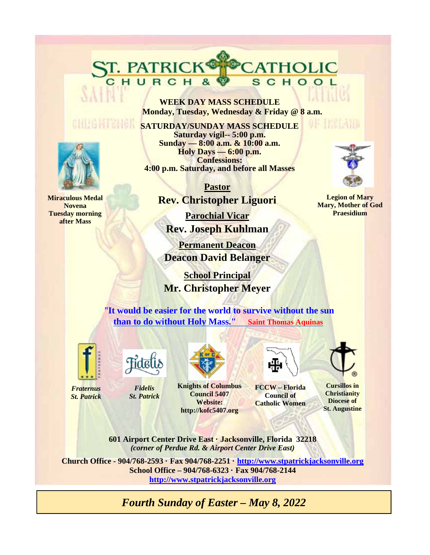**WEEK DAY MASS SCHEDULE Monday, Tuesday, Wednesday & Friday @ 8 a.m.** 

CATHOLIC

SCHOOL

**SATURDAY/SUNDAY MASS SCHEDULE Saturday vigil-- 5:00 p.m. Sunday — 8:00 a.m. & 10:00 a.m. Holy Days — 6:00 p.m. Confessions: 4:00 p.m. Saturday, and before all Masses** 

> **Pastor Rev. Christopher Liguori**

**Parochial Vicar Rev. Joseph Kuhlman** 

**Permanent Deacon Deacon David Belanger** 

 **School Principal Mr. Christopher Meyer**

"**It would be easier for the world to survive without the sun than to do without Holy Mass." Saint Thomas Aquinas**



*Fraternus St. Patrick*



ST. PATRICK®

*Fidelis St. Patrick*





**FCCW – Florida Council of Catholic Women** 



**Cursillos in Christianity Diocese of St. Augustine** 

**601 Airport Center Drive East · Jacksonville, Florida 32218**  *(corner of Perdue Rd. & Airport Center Drive East)* 

**Website: http://kofc5407.org**

**Church Office - 904/768-2593 · Fax 904/768-2251 · http://www.stpatrickjacksonville.org School Office – 904/768-6323 · Fax 904/768-2144 http://www.stpatrickjacksonville.org**

*Fourth Sunday of Easter – May 8, 2022* 



**Miraculous Medal Novena Tuesday morning after Mass** 



of Thematic

**Legion of Mary Mary, Mother of God Praesidium**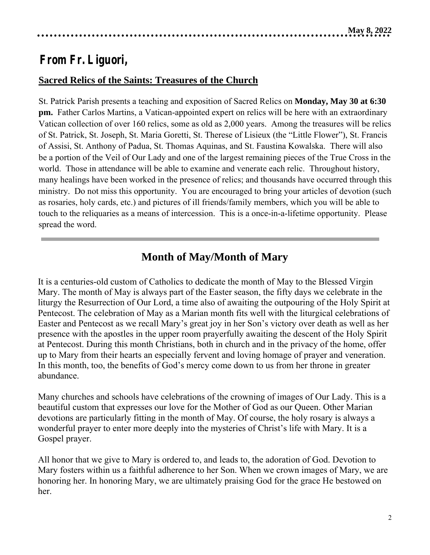# **From Fr. Liguori,**

## **Sacred Relics of the Saints: Treasures of the Church**

St. Patrick Parish presents a teaching and exposition of Sacred Relics on **Monday, May 30 at 6:30 pm.** Father Carlos Martins, a Vatican-appointed expert on relics will be here with an extraordinary Vatican collection of over 160 relics, some as old as 2,000 years. Among the treasures will be relics of St. Patrick, St. Joseph, St. Maria Goretti, St. Therese of Lisieux (the "Little Flower"), St. Francis of Assisi, St. Anthony of Padua, St. Thomas Aquinas, and St. Faustina Kowalska. There will also be a portion of the Veil of Our Lady and one of the largest remaining pieces of the True Cross in the world. Those in attendance will be able to examine and venerate each relic. Throughout history, many healings have been worked in the presence of relics; and thousands have occurred through this ministry. Do not miss this opportunity. You are encouraged to bring your articles of devotion (such as rosaries, holy cards, etc.) and pictures of ill friends/family members, which you will be able to touch to the reliquaries as a means of intercession. This is a once-in-a-lifetime opportunity. Please spread the word.

## **Month of May/Month of Mary**

It is a centuries-old custom of Catholics to dedicate the month of May to the Blessed Virgin Mary. The month of May is always part of the Easter season, the fifty days we celebrate in the liturgy the Resurrection of Our Lord, a time also of awaiting the outpouring of the Holy Spirit at Pentecost. The celebration of May as a Marian month fits well with the liturgical celebrations of Easter and Pentecost as we recall Mary's great joy in her Son's victory over death as well as her presence with the apostles in the upper room prayerfully awaiting the descent of the Holy Spirit at Pentecost. During this month Christians, both in church and in the privacy of the home, offer up to Mary from their hearts an especially fervent and loving homage of prayer and veneration. In this month, too, the benefits of God's mercy come down to us from her throne in greater abundance.

Many churches and schools have celebrations of the crowning of images of Our Lady. This is a beautiful custom that expresses our love for the Mother of God as our Queen. Other Marian devotions are particularly fitting in the month of May. Of course, the holy rosary is always a wonderful prayer to enter more deeply into the mysteries of Christ's life with Mary. It is a Gospel prayer.

All honor that we give to Mary is ordered to, and leads to, the adoration of God. Devotion to Mary fosters within us a faithful adherence to her Son. When we crown images of Mary, we are honoring her. In honoring Mary, we are ultimately praising God for the grace He bestowed on her.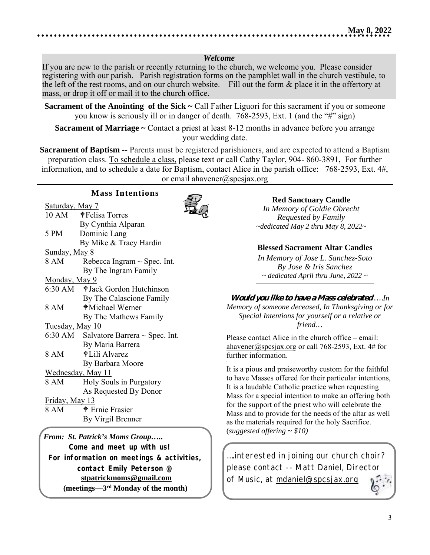#### *Welcome*

If you are new to the parish or recently returning to the church, we welcome you. Please consider registering with our parish. Parish registration forms on the pamphlet wall in the church vestibule, to the left of the rest rooms, and on our church website. Fill out the form & place it in the offertory at mass, or drop it off or mail it to the church office.

**Sacrament of the Anointing of the Sick ~ Call Father Liguori for this sacrament if you or someone** you know is seriously ill or in danger of death. 768-2593, Ext. 1 (and the "#" sign)

**Sacrament of Marriage ~** Contact a priest at least 8-12 months in advance before you arrange your wedding date.

**Sacrament of Baptism --** Parents must be registered parishioners, and are expected to attend a Baptism preparation class. To schedule a class, please text or call Cathy Taylor, 904- 860-3891, For further information, and to schedule a date for Baptism, contact Alice in the parish office: 768-2593, Ext. 4#, or email ahavener@spcsjax.org

|                        | <b>Mass Intentions</b>                      |  |  |
|------------------------|---------------------------------------------|--|--|
| <u>Saturday, May 7</u> |                                             |  |  |
|                        | 10 AM <b> +</b> Felisa Torres               |  |  |
|                        | By Cynthia Alparan                          |  |  |
| 5 PM                   | Dominic Lang                                |  |  |
|                        | By Mike & Tracy Hardin                      |  |  |
| Sunday, May 8          |                                             |  |  |
| 8 AM                   | Rebecca Ingram $\sim$ Spec. Int.            |  |  |
|                        | By The Ingram Family                        |  |  |
| <u>Monday, May 9</u>   |                                             |  |  |
|                        | 6:30 AM $\bullet$ Jack Gordon Hutchinson    |  |  |
|                        | By The Calascione Family                    |  |  |
| 8 AM                   | ♦ Michael Werner                            |  |  |
|                        | By The Mathews Family                       |  |  |
| <u>Tuesday, May 10</u> |                                             |  |  |
|                        | 6:30 AM Salvatore Barrera $\sim$ Spec. Int. |  |  |
|                        | By Maria Barrera                            |  |  |
| 8 AM                   | $\bigoplus$ Lili Alvarez                    |  |  |
|                        | By Barbara Moore                            |  |  |
|                        | Wednesday, May 11                           |  |  |
| 8 AM                   | Holy Souls in Purgatory                     |  |  |
|                        | As Requested By Donor                       |  |  |
|                        | <u>Friday, May 13</u>                       |  |  |
| 8 AM                   | <b>+</b> Ernie Frasier                      |  |  |
|                        | By Virgil Brenner                           |  |  |

*From: St. Patrick's Moms Group….. Come and meet up with us! For information on meetings & activities, contact Emily Peterson @*   **stpatrickmoms@gmail.com (meetings—3rd Monday of the month)** 

#### **Red Sanctuary Candle**

*In Memory of Goldie Obrecht Requested by Family ~dedicated May 2 thru May 8, 2022~* 

#### **Blessed Sacrament Altar Candles**

*In Memory of Jose L. Sanchez-Soto By Jose & Iris Sanchez ~ dedicated April thru June, 2022 ~* 

## **Would you like to have a Mass celebrated** *….In*

*Memory of someone deceased, In Thanksgiving or for Special Intentions for yourself or a relative or friend…*

Please contact Alice in the church office – email: ahavener@spcsjax.org or call 768-2593, Ext. 4# for further information.

It is a pious and praiseworthy custom for the faithful to have Masses offered for their particular intentions, It is a laudable Catholic practice when requesting Mass for a special intention to make an offering both for the support of the priest who will celebrate the Mass and to provide for the needs of the altar as well as the materials required for the holy Sacrifice. (*suggested offering ~ \$10)*

….interested in joining our church choir? please contact -- Matt Daniel, Director of Music, at mdaniel@spcsjax.org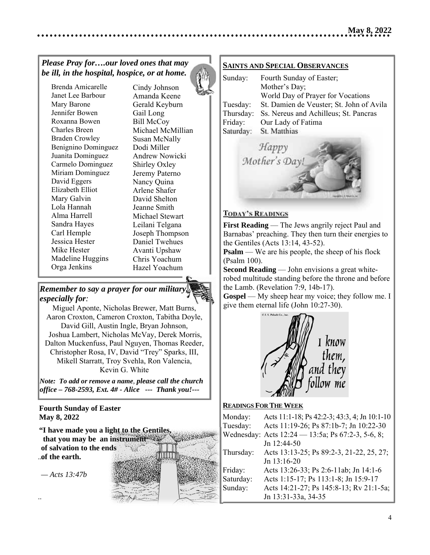## *Please Pray for….our loved ones that may be ill, in the hospital, hospice, or at home.*

Brenda Amicarelle Janet Lee Barbour Mary Barone Jennifer Bowen Roxanna Bowen Charles Breen Braden Crowley Benignino Dominguez Juanita Dominguez Carmelo Dominguez Miriam Dominguez David Eggers Elizabeth Elliot Mary Galvin Lola Hannah Alma Harrell Sandra Hayes Carl Hemple Jessica Hester Mike Hester Madeline Huggins Orga Jenkins

Cindy Johnson Amanda Keene Gerald Keyburn Gail Long Bill McCoy Michael McMillian Susan McNally Dodi Miller Andrew Nowicki Shirley Oxley Jeremy Paterno Nancy Quina Arlene Shafer David Shelton Jeanne Smith Michael Stewart Leilani Telgana Joseph Thompson Daniel Twehues Avanti Upshaw Chris Yoachum Hazel Yoachum

## *Remember to say a prayer for our military, especially for:*

Miguel Aponte, Nicholas Brewer, Matt Burns, Aaron Croxton, Cameron Croxton, Tabitha Doyle, David Gill, Austin Ingle, Bryan Johnson, Joshua Lambert, Nicholas McVay, Derek Morris,  Dalton Muckenfuss, Paul Nguyen, Thomas Reeder, Christopher Rosa, IV, David "Trey" Sparks, III, Mikell Starratt, Troy Svehla, Ron Valencia, Kevin G. White

*Note: To add or remove a name, please call the church office – 768-2593, Ext. 4# - Alice --- Thank you!---*  

#### **May 8, 2022 Fourth Sunday of Easter**

...  **of the earth. "I have made you a light to the Gentiles, that you may be an instrument of salvation to the ends** 

 *— Acts 13:47b*

..



## **SAINTS AND SPECIAL OBSERVANCES**

| Sunday:   | Fourth Sunday of Easter;                 |
|-----------|------------------------------------------|
|           | Mother's Day;                            |
|           | World Day of Prayer for Vocations        |
| Tuesday:  | St. Damien de Veuster; St. John of Avila |
| Thursday: | Ss. Nereus and Achilleus; St. Pancras    |
| Friday:   | Our Lady of Fatima                       |
| Saturday: | St. Matthias                             |
|           |                                          |



#### **TODAY'S READINGS**

**First Reading** — The Jews angrily reject Paul and Barnabas' preaching. They then turn their energies to the Gentiles (Acts 13:14, 43-52).

**Psalm** — We are his people, the sheep of his flock (Psalm 100).

**Second Reading** — John envisions a great whiterobed multitude standing before the throne and before the Lamb. (Revelation 7:9, 14b-17).

**Gospel** — My sheep hear my voice; they follow me. I give them eternal life (John 10:27-30).



#### **READINGS FOR THE WEEK**

| Monday:   | Acts 11:1-18; Ps 42:2-3; 43:3, 4; Jn 10:1-10      |
|-----------|---------------------------------------------------|
| Tuesday:  | Acts 11:19-26; Ps 87:1b-7; Jn 10:22-30            |
|           | Wednesday: Acts 12:24 - 13:5a; Ps 67:2-3, 5-6, 8; |
|           | Jn 12:44-50                                       |
| Thursday: | Acts 13:13-25; Ps 89:2-3, 21-22, 25, 27;          |
|           | Jn 13:16-20                                       |
| Friday:   | Acts 13:26-33; Ps 2:6-11ab; Jn 14:1-6             |
| Saturday: | Acts 1:15-17; Ps 113:1-8; Jn 15:9-17              |
| Sunday:   | Acts 14:21-27; Ps 145:8-13; Rv 21:1-5a;           |
|           | Jn 13:31-33a, 34-35                               |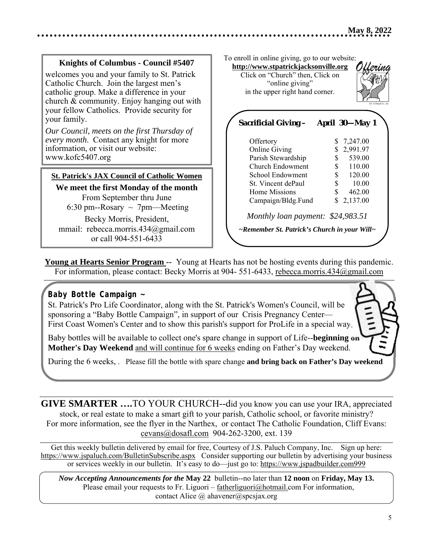#### **Knights of Columbus - Council #5407**

welcomes you and your family to St. Patrick Catholic Church. Join the largest men's catholic group. Make a difference in your church & community. Enjoy hanging out with your fellow Catholics. Provide security for your family.

*Our Council, meets on the first Thursday of every month*. Contact any knight for more information, or visit our website: www.kofc5407.org

#### **St. Patrick's JAX Council of Catholic Women**

**We meet the first Monday of the month**  From September thru June 6:30 pm--Rosary  $\sim$  7pm—Meeting

Becky Morris, President, mmail: rebecca.morris.434@gmail.com or call 904-551-6433

To enroll in online giving, go to our website:

**http://www.stpatrickjacksonville.org** Click on "Church" then, Click on "online giving" in the upper right hand corner.



| <b>Sacrificial Giving –</b>                  | April 30-May 1 |
|----------------------------------------------|----------------|
| Offertory                                    | \$<br>7,247.00 |
| <b>Online Giving</b>                         | 2,991.97<br>\$ |
| Parish Stewardship                           | 539.00<br>\$   |
| Church Endowment                             | \$<br>110.00   |
| School Endowment                             | \$<br>120.00   |
| St. Vincent dePaul                           | 10.00<br>\$    |
| Home Missions                                | 462.00<br>\$   |
| Campaign/Bldg.Fund                           | \$<br>2,137.00 |
| Monthly loan payment: \$24,983.51            |                |
| ~Remember St. Patrick's Church in your Will~ |                |
|                                              |                |

**Young at Hearts Senior Program --** Young at Hearts has not be hosting events during this pandemic. For information, please contact: Becky Morris at 904- 551-6433, rebecca.morris.434@gmail.com

## *Baby Bottle Campaign ~*

St. Patrick's Pro Life Coordinator, along with the St. Patrick's Women's Council, will be sponsoring a "Baby Bottle Campaign", in support of our Crisis Pregnancy Center— First Coast Women's Center and to show this parish's support for ProLife in a special way.

Baby bottles will be available to collect one's spare change in support of Life--**beginning on Mother's Day Weekend** and will continue for 6 weeks ending on Father's Day weekend.

During the 6 weeks, . Please fill the bottle with spare change **and bring back on Father's Day weekend**

**GIVE SMARTER ….**TO YOUR CHURCH--did you know you can use your IRA, appreciated stock, or real estate to make a smart gift to your parish, Catholic school, or favorite ministry? For more information, see the flyer in the Narthex, or contact The Catholic Foundation, Cliff Evans: cevans@dosafl.com 904-262-3200, ext. 139

Get this weekly bulletin delivered by email for free, Courtesy of J.S. Paluch Company, Inc. Sign up here: https://www.jspaluch.com/BulletinSubscribe.aspx Consider supporting our bulletin by advertising your business or services weekly in our bulletin. It's easy to do—just go to: https://www.jspadbuilder.com999

*Now Accepting Announcements for the* **May 22** bulletin--no later than **12 noon** on **Friday, May 13.**Please email your requests to Fr. Liguori – fatherliguori@hotmail.com For information, contact Alice @ ahavener@spcsjax.org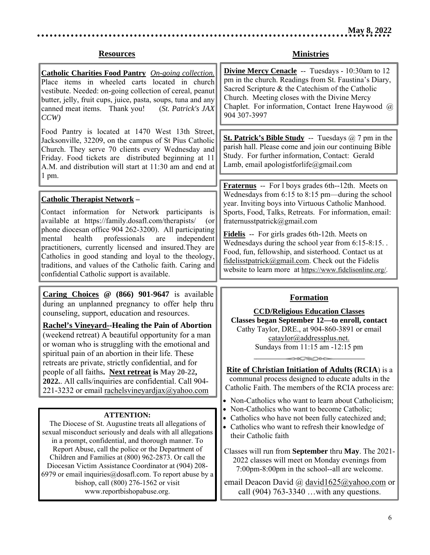#### **Resources**

**Catholic Charities Food Pantry** *On-going collection.* Place items in wheeled carts located in church vestibute. Needed: on-going collection of cereal, peanut butter, jelly, fruit cups, juice, pasta, soups, tuna and any canned meat items. Thank you! (*St. Patrick's JAX CCW)* 

Food Pantry is located at 1470 West 13th Street, Jacksonville, 32209, on the campus of St Pius Catholic Church. They serve 70 clients every Wednesday and Friday. Food tickets are distributed beginning at 11 A.M. and distribution will start at 11:30 am and end at 1 pm.

#### **Catholic Therapist Network –**

 $\overline{\phantom{a}}$ 

 $\overline{\phantom{a}}$ 

Contact information for Network participants is available at https://family.dosafl.com/therapists/ (or phone diocesan office 904 262-3200). All participating mental health professionals are independent practitioners, currently licensed and insured.They are Catholics in good standing and loyal to the theology, traditions, and values of the Catholic faith. Caring and confidential Catholic support is available.

**Caring Choices @ (866) 901-9647** is available during an unplanned pregnancy to offer help thru counseling, support, education and resources.

**Rachel's Vineyard--Healing the Pain of Abortion**  (weekend retreat) A beautiful opportunity for a man or woman who is struggling with the emotional and spiritual pain of an abortion in their life. These retreats are private, strictly confidential, and for people of all faiths**. Next retreat is May 20-22, 2022.**. All calls/inquiries are confidential. Call 904- 221-3232 or email rachelsvineyardjax $\omega$ yahoo.com

#### **ATTENTION:**

The Diocese of St. Augustine treats all allegations of sexual misconduct seriously and deals with all allegations in a prompt, confidential, and thorough manner. To Report Abuse, call the police or the Department of Children and Families at (800) 962‐2873. Or call the Diocesan Victim Assistance Coordinator at (904) 208‐ 6979 or email inquiries  $@$  dosafl.com. To report abuse by a bishop, call (800) 276‐1562 or visit www.reportbishopabuse.org.

**Ministries** 

**Divine Mercy Cenacle** -- Tuesdays - 10:30am to 12 pm in the church. Readings from St. Faustina's Diary, Sacred Scripture & the Catechism of the Catholic Church. Meeting closes with the Divine Mercy Chaplet. For information, Contact Irene Haywood @ 904 307-3997

**St. Patrick's Bible Study** -- Tuesdays @ 7 pm in the parish hall. Please come and join our continuing Bible Study. For further information, Contact: Gerald Lamb, email apologistforlife@gmail.com

**Fraternus** -- For l boys grades 6th--12th. Meets on Wednesdays from 6:15 to 8:15 pm—during the school year. Inviting boys into Virtuous Catholic Manhood. Sports, Food, Talks, Retreats. For information, email: fraternusstpatrick@gmail.com

**Fidelis** -- For girls grades 6th-12th. Meets on Wednesdays during the school year from 6:15-8:15. . Food, fun, fellowship, and sisterhood. Contact us at fidelisstpatrick@gmail.com. Check out the Fidelis website to learn more at https://www.fidelisonline.org/.

#### **Formation**

**CCD/Religious Education Classes Classes began September 12—to enroll, contact**  Cathy Taylor, DRE., at 904-860-3891 or email cataylor@addressplus.net. Sundays from 11:15 am -12:15 pm

**Rite of Christian Initiation of Adults (RCIA**) is a communal process designed to educate adults in the Catholic Faith. The members of the RCIA process are:

 $\circ$   $\circ$ 

- Non-Catholics who want to learn about Catholicism;
- Non-Catholics who want to become Catholic;
- Catholics who have not been fully cate chized and;
- Catholics who want to refresh their knowledge of their Catholic faith

Classes will run from **September** thru **May**. The 2021- 2022 classes will meet on Monday evenings from 7:00pm-8:00pm in the school--all are welcome.

email Deacon David @ david1625@yahoo.com or call (904) 763-3340 …with any questions.